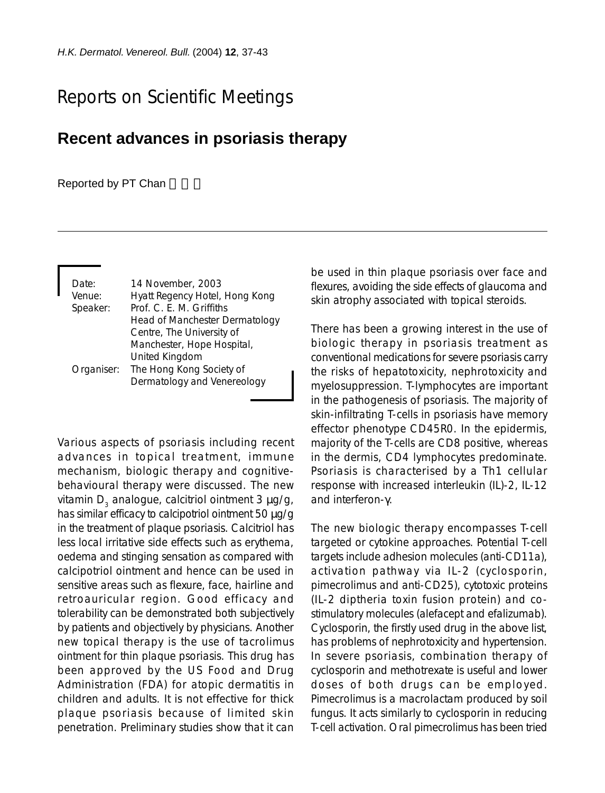## Reports on Scientific Meetings

## **Recent advances in psoriasis therapy**

## Reported by PT Chan

| Date:    | 14 November, 2003                     |
|----------|---------------------------------------|
| Venue:   | Hyatt Regency Hotel, Hong Kong        |
| Speaker: | Prof. C. E. M. Griffiths              |
|          | <b>Head of Manchester Dermatology</b> |
|          | Centre, The University of             |
|          | Manchester, Hope Hospital,            |
|          | United Kingdom                        |
|          | Organiser: The Hong Kong Society of   |
|          | Dermatology and Venereology           |
|          |                                       |

Various aspects of psoriasis including recent advances in topical treatment, immune mechanism, biologic therapy and cognitivebehavioural therapy were discussed. The new vitamin  $D_3$  analogue, calcitriol ointment 3  $\mu$ g/g, has similar efficacy to calcipotriol ointment 50  $\mu$ g/g in the treatment of plaque psoriasis. Calcitriol has less local irritative side effects such as erythema, oedema and stinging sensation as compared with calcipotriol ointment and hence can be used in sensitive areas such as flexure, face, hairline and retroauricular region. Good efficacy and tolerability can be demonstrated both subjectively by patients and objectively by physicians. Another new topical therapy is the use of tacrolimus ointment for thin plaque psoriasis. This drug has been approved by the US Food and Drug Administration (FDA) for atopic dermatitis in children and adults. It is not effective for thick plaque psoriasis because of limited skin penetration. Preliminary studies show that it can be used in thin plaque psoriasis over face and flexures, avoiding the side effects of glaucoma and skin atrophy associated with topical steroids.

There has been a growing interest in the use of biologic therapy in psoriasis treatment as conventional medications for severe psoriasis carry the risks of hepatotoxicity, nephrotoxicity and myelosuppression. T-lymphocytes are important in the pathogenesis of psoriasis. The majority of skin-infiltrating T-cells in psoriasis have memory effector phenotype CD45R0. In the epidermis, majority of the T-cells are CD8 positive, whereas in the dermis, CD4 lymphocytes predominate. Psoriasis is characterised by a Th1 cellular response with increased interleukin (IL)-2, IL-12 and interferon-γ.

The new biologic therapy encompasses T-cell targeted or cytokine approaches. Potential T-cell targets include adhesion molecules (anti-CD11a), activation pathway via IL-2 (cyclosporin, pimecrolimus and anti-CD25), cytotoxic proteins (IL-2 diptheria toxin fusion protein) and costimulatory molecules (alefacept and efalizumab). Cyclosporin, the firstly used drug in the above list, has problems of nephrotoxicity and hypertension. In severe psoriasis, combination therapy of cyclosporin and methotrexate is useful and lower doses of both drugs can be employed. Pimecrolimus is a macrolactam produced by soil fungus. It acts similarly to cyclosporin in reducing T-cell activation. Oral pimecrolimus has been tried